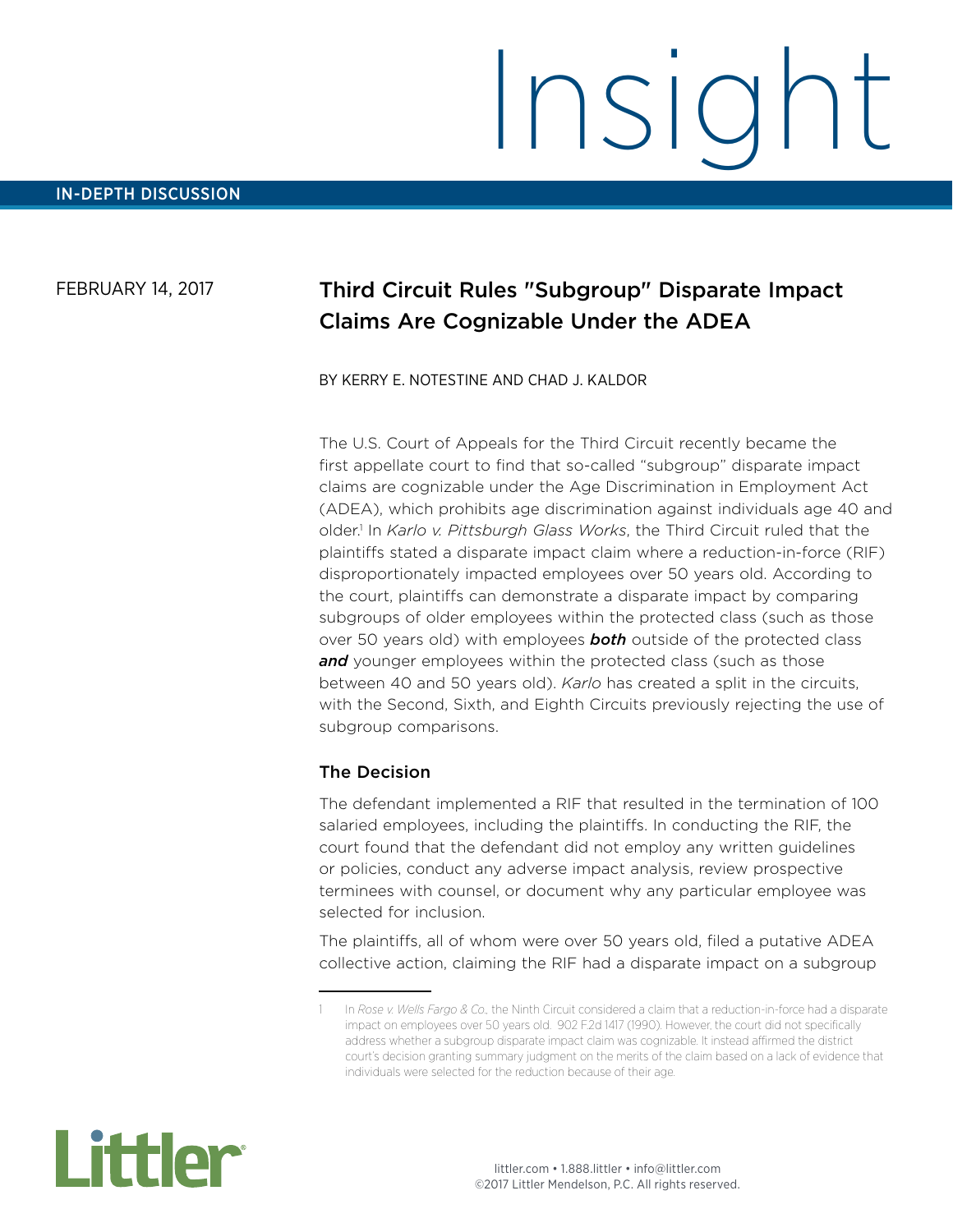### FEBRUARY 14, 2017

## Third Circuit Rules "Subgroup" Disparate Impact Claims Are Cognizable Under the ADEA

#### BY KERRY E. NOTESTINE AND CHAD J. KALDOR

The U.S. Court of Appeals for the Third Circuit recently became the first appellate court to find that so-called "subgroup" disparate impact claims are cognizable under the Age Discrimination in Employment Act (ADEA), which prohibits age discrimination against individuals age 40 and older.<sup>1</sup> In Karlo v. Pittsburgh Glass Works, the Third Circuit ruled that the plaintiffs stated a disparate impact claim where a reduction-in-force (RIF) disproportionately impacted employees over 50 years old. According to the court, plaintiffs can demonstrate a disparate impact by comparing subgroups of older employees within the protected class (such as those over 50 years old) with employees *both* outside of the protected class and younger employees within the protected class (such as those between 40 and 50 years old). *Karlo* has created a split in the circuits, with the Second, Sixth, and Eighth Circuits previously rejecting the use of subgroup comparisons.

#### The Decision

The defendant implemented a RIF that resulted in the termination of 100 salaried employees, including the plaintiffs. In conducting the RIF, the court found that the defendant did not employ any written guidelines or policies, conduct any adverse impact analysis, review prospective terminees with counsel, or document why any particular employee was selected for inclusion.

The plaintiffs, all of whom were over 50 years old, filed a putative ADEA collective action, claiming the RIF had a disparate impact on a subgroup



<sup>1</sup> In *Rose v. Wells Fargo & Co.,* the Ninth Circuit considered a claim that a reduction-in-force had a disparate impact on employees over 50 years old. 902 F.2d 1417 (1990). However, the court did not specifically address whether a subgroup disparate impact claim was cognizable. It instead affirmed the district court's decision granting summary judgment on the merits of the claim based on a lack of evidence that individuals were selected for the reduction because of their age.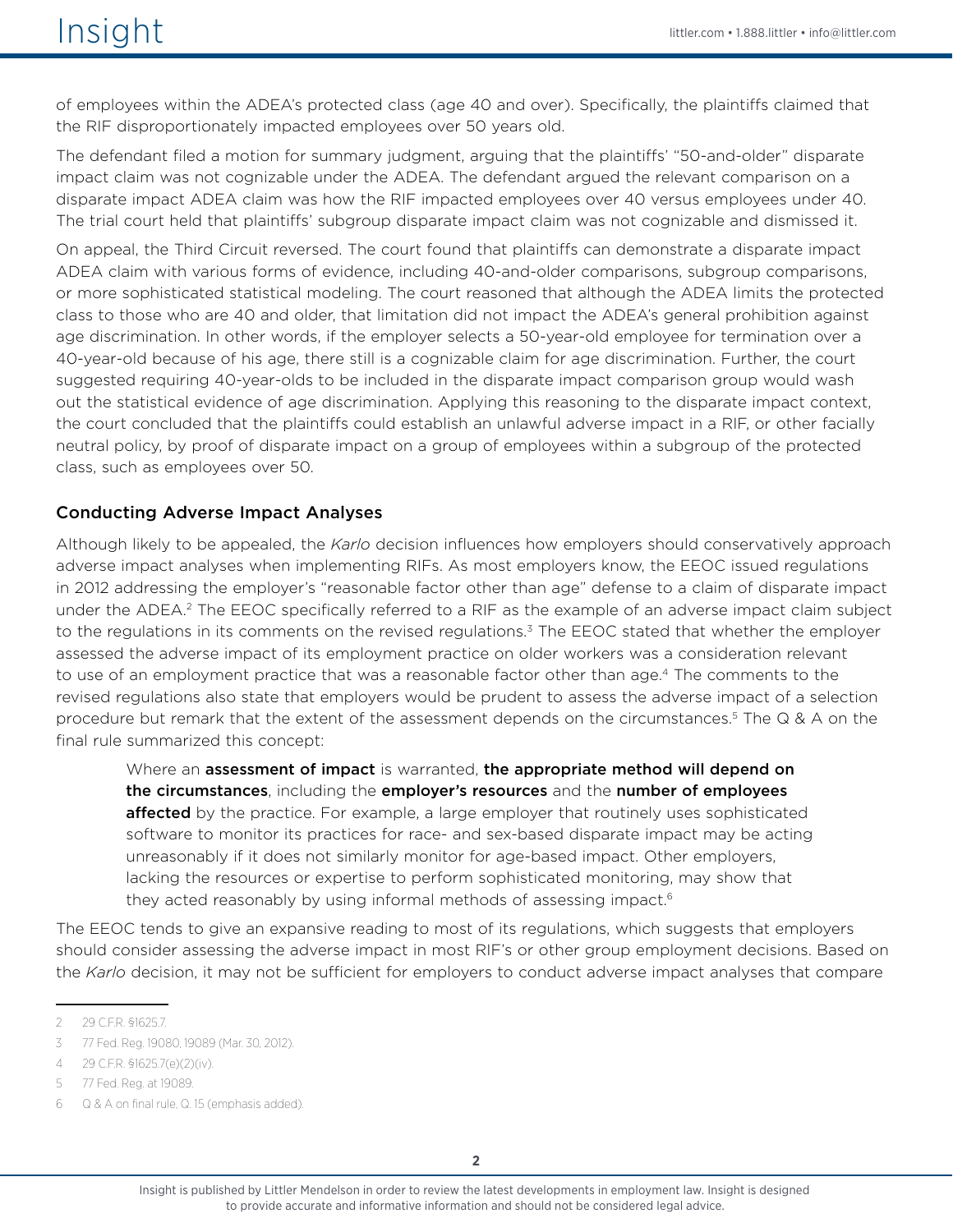of employees within the ADEA's protected class (age 40 and over). Specifically, the plaintiffs claimed that the RIF disproportionately impacted employees over 50 years old.

The defendant filed a motion for summary judgment, arguing that the plaintiffs' "50-and-older" disparate impact claim was not cognizable under the ADEA. The defendant argued the relevant comparison on a disparate impact ADEA claim was how the RIF impacted employees over 40 versus employees under 40. The trial court held that plaintiffs' subgroup disparate impact claim was not cognizable and dismissed it.

On appeal, the Third Circuit reversed. The court found that plaintiffs can demonstrate a disparate impact ADEA claim with various forms of evidence, including 40-and-older comparisons, subgroup comparisons, or more sophisticated statistical modeling. The court reasoned that although the ADEA limits the protected class to those who are 40 and older, that limitation did not impact the ADEA's general prohibition against age discrimination. In other words, if the employer selects a 50-year-old employee for termination over a 40-year-old because of his age, there still is a cognizable claim for age discrimination. Further, the court suggested requiring 40-year-olds to be included in the disparate impact comparison group would wash out the statistical evidence of age discrimination. Applying this reasoning to the disparate impact context, the court concluded that the plaintiffs could establish an unlawful adverse impact in a RIF, or other facially neutral policy, by proof of disparate impact on a group of employees within a subgroup of the protected class, such as employees over 50.

#### Conducting Adverse Impact Analyses

Although likely to be appealed, the *Karlo* decision influences how employers should conservatively approach adverse impact analyses when implementing RIFs. As most employers know, the EEOC issued regulations in 2012 addressing the employer's "reasonable factor other than age" defense to a claim of disparate impact under the ADEA.<sup>2</sup> The EEOC specifically referred to a RIF as the example of an adverse impact claim subject to the regulations in its comments on the revised regulations.<sup>3</sup> The EEOC stated that whether the employer assessed the adverse impact of its employment practice on older workers was a consideration relevant to use of an employment practice that was a reasonable factor other than age.4 The comments to the revised regulations also state that employers would be prudent to assess the adverse impact of a selection procedure but remark that the extent of the assessment depends on the circumstances.<sup>5</sup> The Q & A on the final rule summarized this concept:

Where an assessment of impact is warranted, the appropriate method will depend on the circumstances, including the employer's resources and the number of employees **affected** by the practice. For example, a large employer that routinely uses sophisticated software to monitor its practices for race- and sex-based disparate impact may be acting unreasonably if it does not similarly monitor for age-based impact. Other employers, lacking the resources or expertise to perform sophisticated monitoring, may show that they acted reasonably by using informal methods of assessing impact.<sup>6</sup>

The EEOC tends to give an expansive reading to most of its regulations, which suggests that employers should consider assessing the adverse impact in most RIF's or other group employment decisions. Based on the *Karlo* decision, it may not be sufficient for employers to conduct adverse impact analyses that compare

<sup>2</sup> 29 C.F.R. §1625.7.

<sup>3</sup> 77 Fed. Reg. 19080, 19089 (Mar. 30, 2012).

<sup>4</sup> 29 C.F.R. §1625.7(e)(2)(iv).

<sup>5</sup> 77 Fed. Reg. at 19089.

<sup>6</sup> Q & A on final rule, Q. 15 (emphasis added).